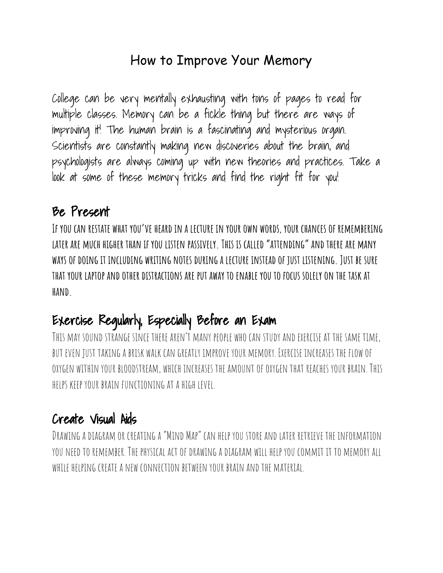### How to Improve Your Memory

College can be very mentally exhausting with tons of pages to read for multiple classes. Memory can be a fickle thing but there are ways of improving it! The human brain is a fascinating and mysterious organ. Scientists are constantly making new discoveries about the brain, and psychologists are always coming up with new theories and practices. Take a look at some of these memory tricks and find the right fit for you!

#### Be Present

**If you can restate what you've heard in a lecture in your own words, your chances of remembering later are much higher than if you listen passively. This is called"attending"and there are many ways of doing it including writing notes during a lecture instead of just listening. Just be sure** THAT YOUR LAPTOP AND OTHER DISTRACTIONS ARE PUT AWAY TO ENABLE YOU TO FOCUS SOLELY ON THE TASK AT **hand.**

# Exercise Regularly, Especially Before an Exam

THIS MAY SOUND STRANGE SINCE THERE AREN'T MANY PEOPLE WHO CAN STUDY AND EXERCISE AT THE SAME TIME. but even just taking a brisk walk can greatly improve your memory. Exercise increases the flow of oxygen within your bloodstream, which increases the amountofoxygen that reaches your brain. This helps keep your brain functioning at a high level.

### Create Visual Aids

Drawing adiagram or creating a "Mind Map" can help youstore andlater retrieve the information you needtoremember. The physical actofdrawing adiagram will help youcommit it to memory all while helping create a new connection between your brain andthe material.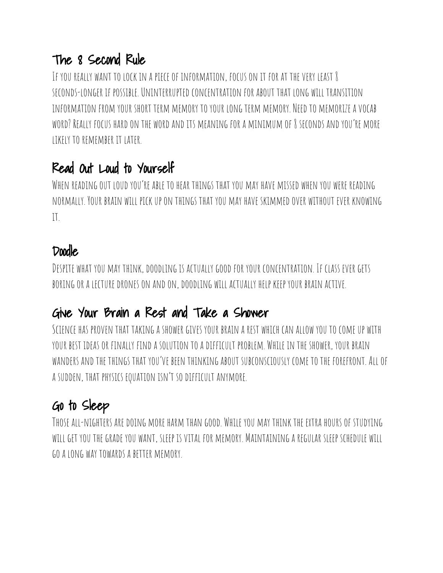### The 8 Second Rule

IF YOU REALLY WANT TO LOCK IN A PIECE OF INFORMATION, FOCUS ON IT FOR AT THE VERY LEAST & seconds-longer if possible.Uninterruptedconcentration for about that long will transition INFORMATION FROM YOUR SHORT TERM MEMORY TO YOUR LONG TERM MEMORY. NEED TO MEMORIZE A VOCAB word? Really focus hardon the wordandits meaning for a minimum of 8 seconds andyou're more likely toremember it later.

## Read Out Loud to Yourself

WHEN READING OUT LOUD YOU'RE ABLE TO HEAR THINGS THAT YOU MAY HAVE MISSED WHEN YOU WERE READING normally. Your brain will pickupon things that you may have skimmedover without ever knowing  $\mathbf{I}$ 

#### Doodle

DESPITE WHAT YOU MAY THINK, DOODLING IS ACTUALLY GOOD FOR YOUR CONCENTRATION. IF CLASS EVER GETS boringor a lecturedroneson andon,doodling will actually help keep your brain active.

### Give Your Brain a Rest and Take a Shower

SCIENCE HAS PROVEN THAT TAKING A SHOWER GIVES YOUR BRAIN A REST WHICH CAN ALLOW YOU TO COME UP WITH your best ideasor finally finda solution toadifficult problem. While in the shower, your brain wanders andthe things that you've been thinking about subconsciously come tothe forefront.Allof a sudden, that physics equation isn't sodifficult anymore.

# Go to Sleep

Those all-nighters aredoing more harm than good. While you may think the extra hoursof studying will get youthe grade you want, sleep isvital for memory. Maintaining a regular sleep schedule will goa long way towards a better memory.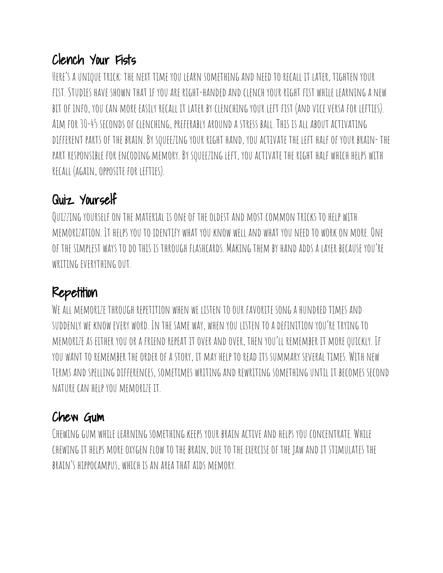## Clench Your Fists

HERE'S A UNIQUE TRICK: THE NEXT TIME YOU LEARN SOMETHING AND NEED TO RECALL IT LATER, TIGHTEN YOUR fist. Studies have shown that if youare right-handedandclench your right fist while learning a new bitof info, youcan more easily recall it later by clenching your left fist (andviceversa for lefties). Aim for 30-45 secondsof clenching, preferably arounda stress ball. This is all about activating different partsof the brain. By squeezing your right hand, youactivate the left halfof your brain- the PART RESPONSIBLE FOR ENCODING MEMORY. BY SQUEEZING LEFT, YOU ACTIVATE THE RIGHT HALF WHICH HELPS WITH RECALL (AGAIN, OPPOSITE FOR LEFTIES).

# Quiz Yourself

QUIZZING YOURSELF ON THE MATERIAL IS ONE OF THE OLDEST AND MOST COMMON TRICKS TO HELP WITH memorization. It helps youtoidentify what youknow well and what you needto workon more.One OF THE SIMPLEST WAYS TO DO THIS IS THROUGH FLASHCARDS. MAKING THEM BY HAND ADDS A LAYER BECAUSE YOU'RE WRITING EVERYTHING OUT.

## Repetition

WE ALL MEMORIZE THROUGH REPETITION WHEN WE LISTEN TO OUR FAVORITE SONG A HUNDRED TIMES AND suddenly we know every word. In the same way, when youlisten toadefinition you're trying to memorize as either youor a friendrepeat itover andover, then you'll remember it morequickly. If YOU WANT TO REMEMBER THE ORDER OF A STORY, IT MAY HELP TO READ ITS SUMMARY SEVERAL TIMES. WITH NEW terms andspellingdifferences, sometimes writing andrewriting somethinguntil it becomes second nature can help you memorize it.

## Chew Gum

CHEWING GUM WHILE LEARNING SOMETHING KEEPS YOUR BRAIN ACTIVE AND HELPS YOU CONCENTRATE. WHILE chewing it helps moreoxygen flow tothe brain,due tothe exerciseof the jaw andit stimulates the brain's hippocampus, which is an area that aids memory.